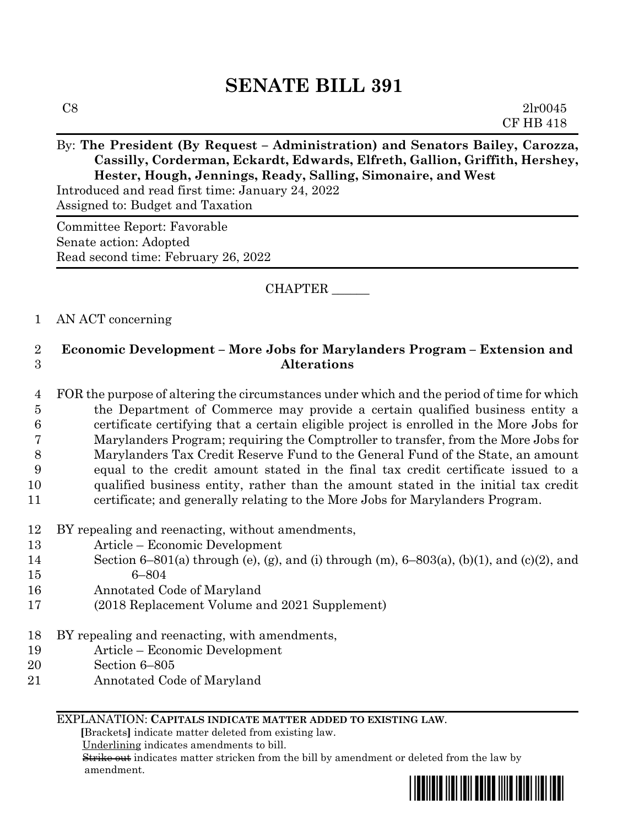# **SENATE BILL 391**

# By: The President (By Request – Administration) and Senators Bailey, Carozza, **Cassilly, Corderman, Eckardt, Edwards, Elfreth, Gallion, Griffith, Hershey, Hester, Hough, Jennings, Ready, Salling, Simonaire, and West**

Introduced and read first time: January 24, 2022 Assigned to: Budget and Taxation

Committee Report: Favorable Senate action: Adopted Read second time: February 26, 2022

## CHAPTER \_\_\_\_\_\_

## 1 AN ACT concerning

# 2 **Economic Development – More Jobs for Marylanders Program – Extension and**  3 **Alterations**

- 4 FOR the purpose of altering the circumstances under which and the period of time for which 5 the Department of Commerce may provide a certain qualified business entity a 6 certificate certifying that a certain eligible project is enrolled in the More Jobs for 7 Marylanders Program; requiring the Comptroller to transfer, from the More Jobs for 8 Marylanders Tax Credit Reserve Fund to the General Fund of the State, an amount 9 equal to the credit amount stated in the final tax credit certificate issued to a 10 qualified business entity, rather than the amount stated in the initial tax credit 11 certificate; and generally relating to the More Jobs for Marylanders Program.
- 12 BY repealing and reenacting, without amendments,
- 13 Article Economic Development
- 14 Section 6–801(a) through (e), (g), and (i) through (m),  $6$ –803(a), (b)(1), and (c)(2), and 15 6–804
- 16 Annotated Code of Maryland
- 17 (2018 Replacement Volume and 2021 Supplement)
- 18 BY repealing and reenacting, with amendments,
- 19 Article Economic Development
- 20 Section 6–805
- 21 Annotated Code of Maryland

### EXPLANATION: **CAPITALS INDICATE MATTER ADDED TO EXISTING LAW**.

 **[**Brackets**]** indicate matter deleted from existing law.

Underlining indicates amendments to bill.

 Strike out indicates matter stricken from the bill by amendment or deleted from the law by amendment.

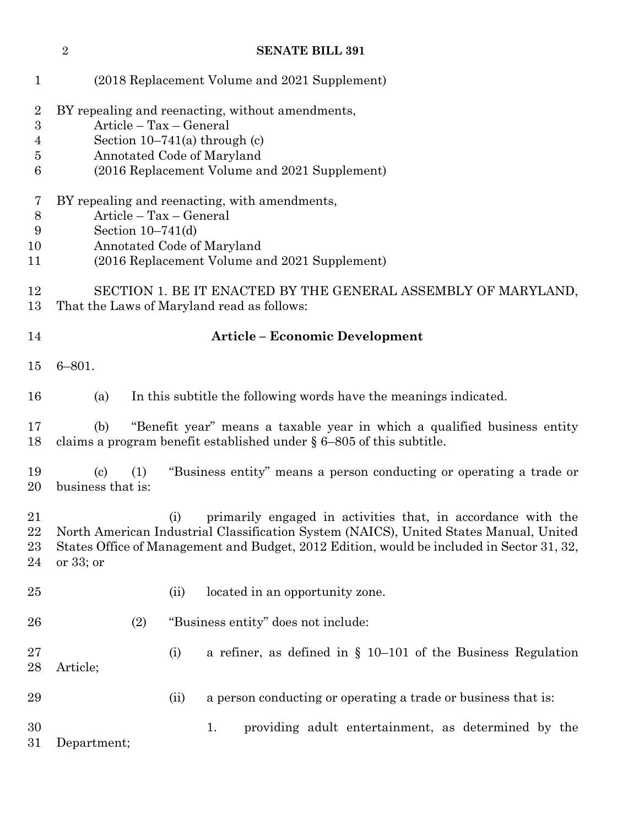|                                    | $\overline{2}$                                                                                                                                                                                | <b>SENATE BILL 391</b> |                                                                                                                                                                                                                                                    |  |  |  |  |  |
|------------------------------------|-----------------------------------------------------------------------------------------------------------------------------------------------------------------------------------------------|------------------------|----------------------------------------------------------------------------------------------------------------------------------------------------------------------------------------------------------------------------------------------------|--|--|--|--|--|
| $\mathbf{1}$                       |                                                                                                                                                                                               |                        | (2018 Replacement Volume and 2021 Supplement)                                                                                                                                                                                                      |  |  |  |  |  |
| $\overline{2}$<br>3<br>4<br>5<br>6 | BY repealing and reenacting, without amendments,<br>Article - Tax - General<br>Section $10-741(a)$ through (c)<br>Annotated Code of Maryland<br>(2016 Replacement Volume and 2021 Supplement) |                        |                                                                                                                                                                                                                                                    |  |  |  |  |  |
| 7<br>$8\,$<br>9<br>10<br>11        | BY repealing and reenacting, with amendments,<br>Article - Tax - General<br>Section $10-741(d)$<br>Annotated Code of Maryland<br>(2016 Replacement Volume and 2021 Supplement)                |                        |                                                                                                                                                                                                                                                    |  |  |  |  |  |
| 12<br>13                           |                                                                                                                                                                                               |                        | SECTION 1. BE IT ENACTED BY THE GENERAL ASSEMBLY OF MARYLAND,<br>That the Laws of Maryland read as follows:                                                                                                                                        |  |  |  |  |  |
| 14                                 |                                                                                                                                                                                               |                        | <b>Article – Economic Development</b>                                                                                                                                                                                                              |  |  |  |  |  |
| 15                                 | $6 - 801.$                                                                                                                                                                                    |                        |                                                                                                                                                                                                                                                    |  |  |  |  |  |
| 16                                 | (a)                                                                                                                                                                                           |                        | In this subtitle the following words have the meanings indicated.                                                                                                                                                                                  |  |  |  |  |  |
| 17<br>18                           | (b)                                                                                                                                                                                           |                        | "Benefit year" means a taxable year in which a qualified business entity<br>claims a program benefit established under $\S 6-805$ of this subtitle.                                                                                                |  |  |  |  |  |
| 19<br>20                           | $\left( \mathrm{c}\right)$<br>business that is:                                                                                                                                               | (1)                    | "Business entity" means a person conducting or operating a trade or                                                                                                                                                                                |  |  |  |  |  |
| 21<br>22<br>23<br>24               | or $33$ ; or                                                                                                                                                                                  | (i)                    | primarily engaged in activities that, in accordance with the<br>North American Industrial Classification System (NAICS), United States Manual, United<br>States Office of Management and Budget, 2012 Edition, would be included in Sector 31, 32, |  |  |  |  |  |
| 25                                 |                                                                                                                                                                                               | (ii)                   | located in an opportunity zone.                                                                                                                                                                                                                    |  |  |  |  |  |
| 26                                 |                                                                                                                                                                                               | (2)                    | "Business entity" does not include:                                                                                                                                                                                                                |  |  |  |  |  |
| 27<br>28                           | Article;                                                                                                                                                                                      | (i)                    | a refiner, as defined in $\S$ 10–101 of the Business Regulation                                                                                                                                                                                    |  |  |  |  |  |
| 29                                 |                                                                                                                                                                                               | (ii)                   | a person conducting or operating a trade or business that is:                                                                                                                                                                                      |  |  |  |  |  |
| 30<br>$31\,$                       | Department;                                                                                                                                                                                   |                        | providing adult entertainment, as determined by the<br>1.                                                                                                                                                                                          |  |  |  |  |  |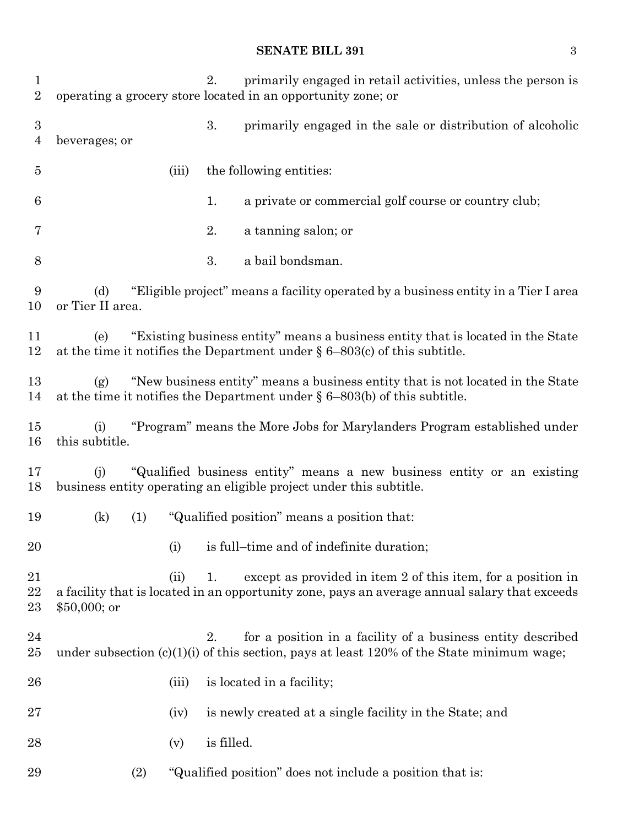## **SENATE BILL 391** 3

| $\mathbf 1$<br>$\overline{2}$      |                         |       | 2.         | primarily engaged in retail activities, unless the person is<br>operating a grocery store located in an opportunity zone; or                                    |
|------------------------------------|-------------------------|-------|------------|-----------------------------------------------------------------------------------------------------------------------------------------------------------------|
| $\boldsymbol{3}$<br>$\overline{4}$ | beverages; or           |       | 3.         | primarily engaged in the sale or distribution of alcoholic                                                                                                      |
| $\overline{5}$                     |                         | (iii) |            | the following entities:                                                                                                                                         |
| 6                                  |                         |       | 1.         | a private or commercial golf course or country club;                                                                                                            |
| 7                                  |                         |       | 2.         | a tanning salon; or                                                                                                                                             |
| 8                                  |                         |       | 3.         | a bail bondsman.                                                                                                                                                |
| 9<br>10                            | (d)<br>or Tier II area. |       |            | "Eligible project" means a facility operated by a business entity in a Tier I area                                                                              |
| 11<br>12                           | (e)                     |       |            | "Existing business entity" means a business entity that is located in the State<br>at the time it notifies the Department under $\S 6-803(c)$ of this subtitle. |
| 13<br>14                           | (g)                     |       |            | "New business entity" means a business entity that is not located in the State<br>at the time it notifies the Department under $\S 6-803(b)$ of this subtitle.  |
| 15<br>16                           | (i)<br>this subtitle.   |       |            | "Program" means the More Jobs for Marylanders Program established under                                                                                         |
| 17<br>18                           | (i)                     |       |            | "Qualified business entity" means a new business entity or an existing<br>business entity operating an eligible project under this subtitle.                    |
| 19                                 | (k)                     | (1)   |            | "Qualified position" means a position that:                                                                                                                     |
| 20                                 |                         | (i)   |            | is full-time and of indefinite duration;                                                                                                                        |
| 21<br>22<br>23                     | $$50,000;$ or           | (ii)  | 1.         | except as provided in item 2 of this item, for a position in<br>a facility that is located in an opportunity zone, pays an average annual salary that exceeds   |
| 24<br>25                           |                         |       | 2.         | for a position in a facility of a business entity described<br>under subsection $(c)(1)(i)$ of this section, pays at least 120% of the State minimum wage;      |
| 26                                 |                         | (iii) |            | is located in a facility;                                                                                                                                       |
| 27                                 |                         | (iv)  |            | is newly created at a single facility in the State; and                                                                                                         |
| 28                                 |                         | (v)   | is filled. |                                                                                                                                                                 |
| 29                                 |                         | (2)   |            | "Qualified position" does not include a position that is:                                                                                                       |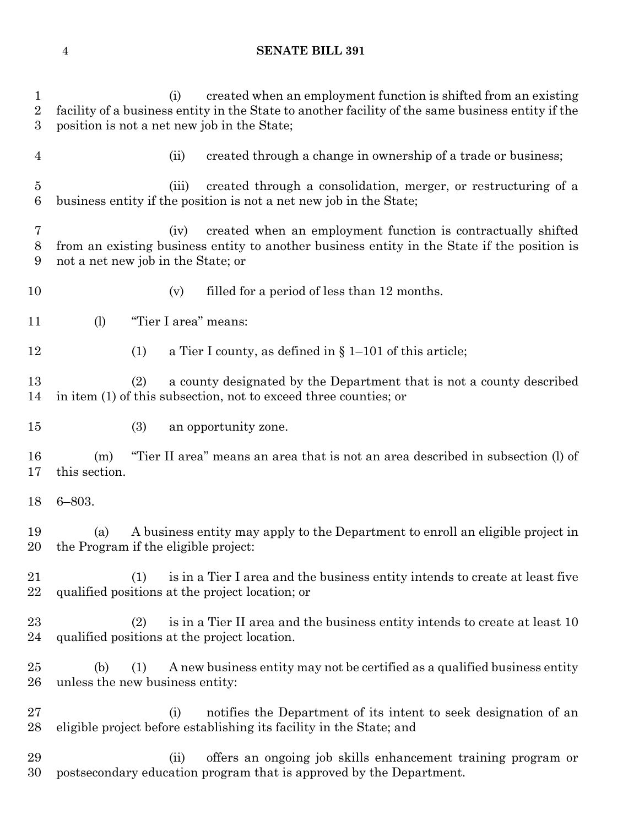#### **SENATE BILL 391**

 (i) created when an employment function is shifted from an existing facility of a business entity in the State to another facility of the same business entity if the position is not a net new job in the State; (ii) created through a change in ownership of a trade or business; (iii) created through a consolidation, merger, or restructuring of a business entity if the position is not a net new job in the State; (iv) created when an employment function is contractually shifted from an existing business entity to another business entity in the State if the position is not a net new job in the State; or 10 (v) filled for a period of less than 12 months. (l) "Tier I area" means: (1) a Tier I county, as defined in § 1–101 of this article; (2) a county designated by the Department that is not a county described in item (1) of this subsection, not to exceed three counties; or (3) an opportunity zone. (m) "Tier II area" means an area that is not an area described in subsection (l) of this section. 6–803. (a) A business entity may apply to the Department to enroll an eligible project in the Program if the eligible project: (1) is in a Tier I area and the business entity intends to create at least five qualified positions at the project location; or (2) is in a Tier II area and the business entity intends to create at least 10 qualified positions at the project location. (b) (1) A new business entity may not be certified as a qualified business entity unless the new business entity: (i) notifies the Department of its intent to seek designation of an eligible project before establishing its facility in the State; and (ii) offers an ongoing job skills enhancement training program or postsecondary education program that is approved by the Department.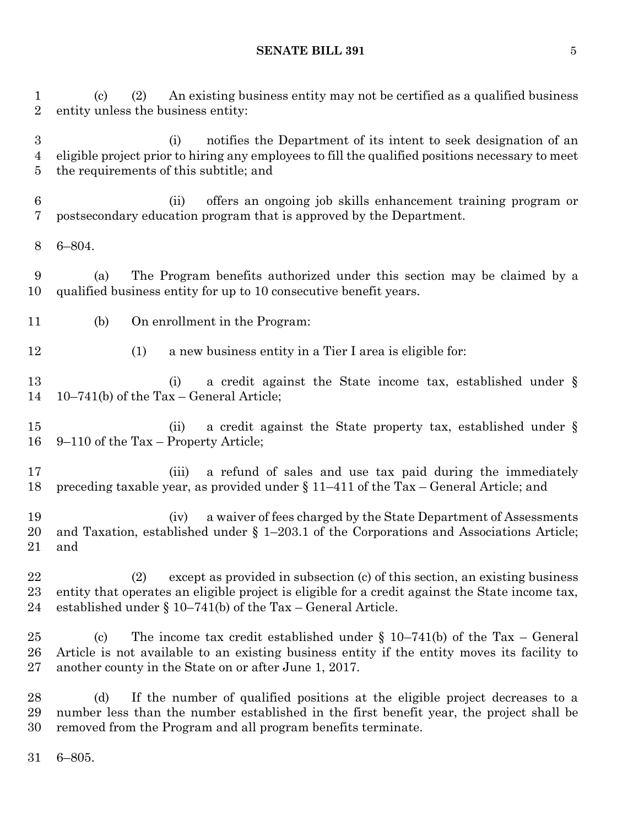**SENATE BILL 391** 5

 (c) (2) An existing business entity may not be certified as a qualified business entity unless the business entity:

 (i) notifies the Department of its intent to seek designation of an eligible project prior to hiring any employees to fill the qualified positions necessary to meet the requirements of this subtitle; and

 (ii) offers an ongoing job skills enhancement training program or postsecondary education program that is approved by the Department.

6–804.

 (a) The Program benefits authorized under this section may be claimed by a qualified business entity for up to 10 consecutive benefit years.

(b) On enrollment in the Program:

(1) a new business entity in a Tier I area is eligible for:

13 (i) a credit against the State income tax, established under § 10–741(b) of the Tax – General Article;

 (ii) a credit against the State property tax, established under § 9–110 of the Tax – Property Article;

 (iii) a refund of sales and use tax paid during the immediately preceding taxable year, as provided under § 11–411 of the Tax – General Article; and

 (iv) a waiver of fees charged by the State Department of Assessments and Taxation, established under § 1–203.1 of the Corporations and Associations Article; and

 (2) except as provided in subsection (c) of this section, an existing business entity that operates an eligible project is eligible for a credit against the State income tax, established under § 10–741(b) of the Tax – General Article.

 (c) The income tax credit established under § 10–741(b) of the Tax – General Article is not available to an existing business entity if the entity moves its facility to another county in the State on or after June 1, 2017.

 (d) If the number of qualified positions at the eligible project decreases to a number less than the number established in the first benefit year, the project shall be removed from the Program and all program benefits terminate.

6–805.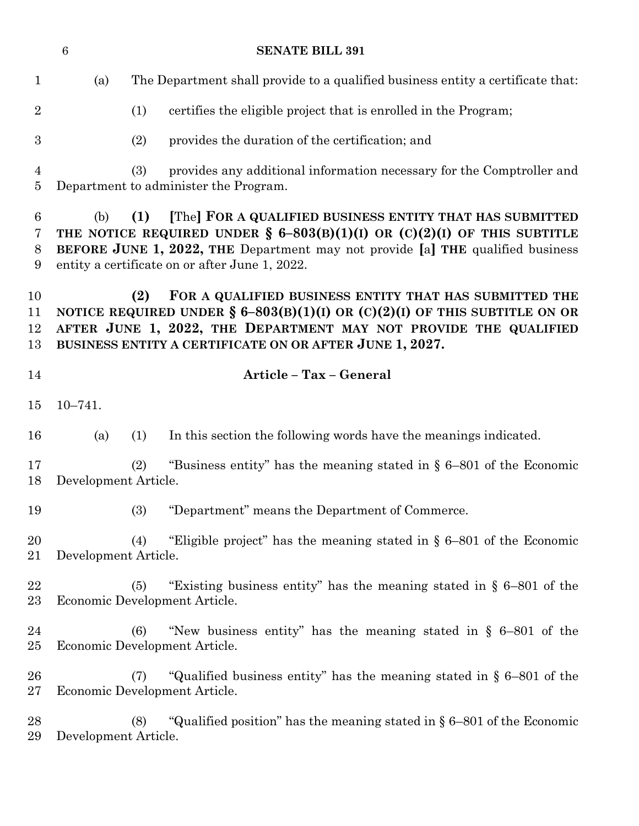|                                  | $6\phantom{1}6$      | <b>SENATE BILL 391</b>                                                                                                                                                                                                                                                             |
|----------------------------------|----------------------|------------------------------------------------------------------------------------------------------------------------------------------------------------------------------------------------------------------------------------------------------------------------------------|
| $\mathbf{1}$                     | (a)                  | The Department shall provide to a qualified business entity a certificate that:                                                                                                                                                                                                    |
| $\overline{2}$                   |                      | certifies the eligible project that is enrolled in the Program;<br>(1)                                                                                                                                                                                                             |
| 3                                |                      | (2)<br>provides the duration of the certification; and                                                                                                                                                                                                                             |
| $\overline{4}$<br>$\overline{5}$ |                      | (3)<br>provides any additional information necessary for the Comptroller and<br>Department to administer the Program.                                                                                                                                                              |
| 6<br>7<br>8<br>9                 | (b)                  | [The] FOR A QUALIFIED BUSINESS ENTITY THAT HAS SUBMITTED<br>(1)<br>THE NOTICE REQUIRED UNDER $\S$ 6-803(B)(1)(I) OR (C)(2)(I) OF THIS SUBTITLE<br>BEFORE JUNE 1, 2022, THE Department may not provide [a] THE qualified business<br>entity a certificate on or after June 1, 2022. |
| 10<br>11<br>12<br>13             |                      | (2)<br>FOR A QUALIFIED BUSINESS ENTITY THAT HAS SUBMITTED THE<br>NOTICE REQUIRED UNDER $\S 6-803(B)(1)(I)$ OR $(C)(2)(I)$ OF THIS SUBTITLE ON OR<br>AFTER JUNE 1, 2022, THE DEPARTMENT MAY NOT PROVIDE THE QUALIFIED<br>BUSINESS ENTITY A CERTIFICATE ON OR AFTER JUNE 1, 2027.    |
| 14                               |                      | Article - Tax - General                                                                                                                                                                                                                                                            |
| 15                               | $10 - 741.$          |                                                                                                                                                                                                                                                                                    |
| 16                               | (a)                  | In this section the following words have the meanings indicated.<br>(1)                                                                                                                                                                                                            |
| 17<br>18                         | Development Article. | "Business entity" has the meaning stated in $\S$ 6–801 of the Economic<br>(2)                                                                                                                                                                                                      |
| 19                               |                      | "Department" means the Department of Commerce.<br>(3)                                                                                                                                                                                                                              |
| 20<br>21                         | Development Article. | "Eligible project" has the meaning stated in $\S$ 6–801 of the Economic<br>(4)                                                                                                                                                                                                     |
| 22<br>23                         |                      | "Existing business entity" has the meaning stated in $\S$ 6–801 of the<br>(5)<br>Economic Development Article.                                                                                                                                                                     |
| 24<br>$25\,$                     |                      | "New business entity" has the meaning stated in $\S$ 6–801 of the<br>(6)<br>Economic Development Article.                                                                                                                                                                          |
| 26<br>$27\,$                     |                      | "Qualified business entity" has the meaning stated in $\S$ 6–801 of the<br>(7)<br>Economic Development Article.                                                                                                                                                                    |
| 28<br>29                         | Development Article. | "Qualified position" has the meaning stated in $\S 6-801$ of the Economic<br>(8)                                                                                                                                                                                                   |
|                                  |                      |                                                                                                                                                                                                                                                                                    |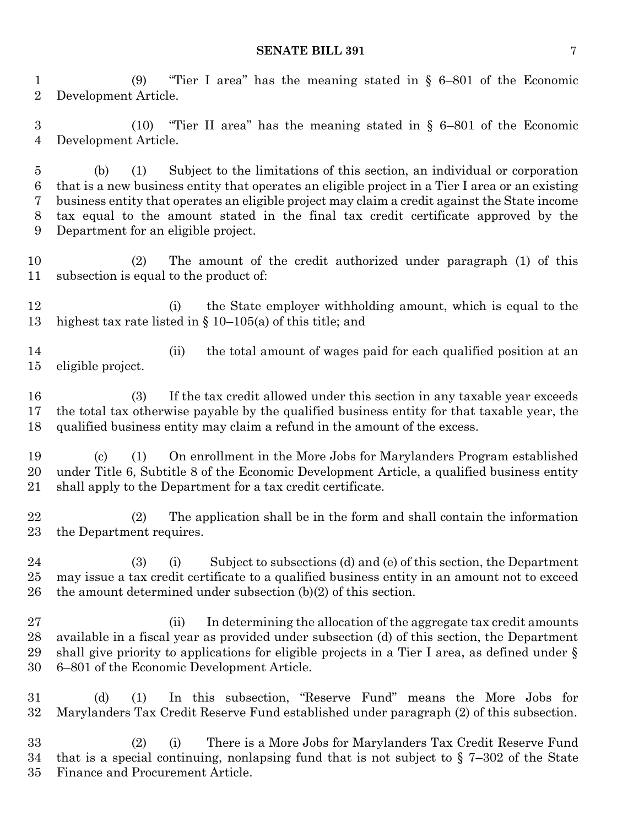(9) "Tier I area" has the meaning stated in § 6–801 of the Economic Development Article.

 (10) "Tier II area" has the meaning stated in § 6–801 of the Economic Development Article.

 (b) (1) Subject to the limitations of this section, an individual or corporation that is a new business entity that operates an eligible project in a Tier I area or an existing business entity that operates an eligible project may claim a credit against the State income tax equal to the amount stated in the final tax credit certificate approved by the Department for an eligible project.

 (2) The amount of the credit authorized under paragraph (1) of this subsection is equal to the product of:

12 (i) the State employer withholding amount, which is equal to the highest tax rate listed in § 10–105(a) of this title; and

14 (ii) the total amount of wages paid for each qualified position at an eligible project.

 (3) If the tax credit allowed under this section in any taxable year exceeds the total tax otherwise payable by the qualified business entity for that taxable year, the qualified business entity may claim a refund in the amount of the excess.

 (c) (1) On enrollment in the More Jobs for Marylanders Program established under Title 6, Subtitle 8 of the Economic Development Article, a qualified business entity shall apply to the Department for a tax credit certificate.

 (2) The application shall be in the form and shall contain the information the Department requires.

 (3) (i) Subject to subsections (d) and (e) of this section, the Department may issue a tax credit certificate to a qualified business entity in an amount not to exceed the amount determined under subsection (b)(2) of this section.

27 (ii) In determining the allocation of the aggregate tax credit amounts available in a fiscal year as provided under subsection (d) of this section, the Department shall give priority to applications for eligible projects in a Tier I area, as defined under § 6–801 of the Economic Development Article.

 (d) (1) In this subsection, "Reserve Fund" means the More Jobs for Marylanders Tax Credit Reserve Fund established under paragraph (2) of this subsection.

 (2) (i) There is a More Jobs for Marylanders Tax Credit Reserve Fund that is a special continuing, nonlapsing fund that is not subject to § 7–302 of the State Finance and Procurement Article.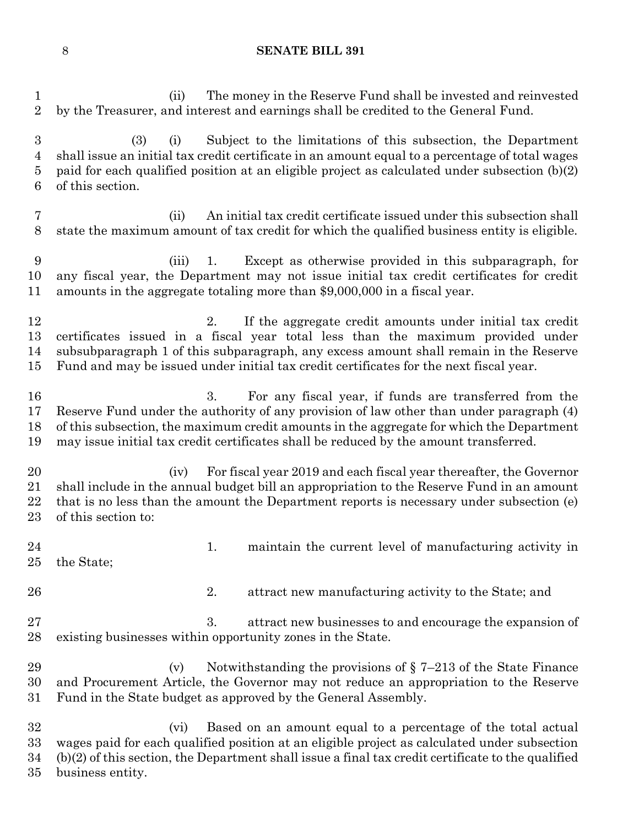#### **SENATE BILL 391**

 (ii) The money in the Reserve Fund shall be invested and reinvested by the Treasurer, and interest and earnings shall be credited to the General Fund. (3) (i) Subject to the limitations of this subsection, the Department shall issue an initial tax credit certificate in an amount equal to a percentage of total wages paid for each qualified position at an eligible project as calculated under subsection (b)(2) of this section. (ii) An initial tax credit certificate issued under this subsection shall state the maximum amount of tax credit for which the qualified business entity is eligible. (iii) 1. Except as otherwise provided in this subparagraph, for any fiscal year, the Department may not issue initial tax credit certificates for credit amounts in the aggregate totaling more than \$9,000,000 in a fiscal year. 12 2. If the aggregate credit amounts under initial tax credit certificates issued in a fiscal year total less than the maximum provided under subsubparagraph 1 of this subparagraph, any excess amount shall remain in the Reserve Fund and may be issued under initial tax credit certificates for the next fiscal year. 3. For any fiscal year, if funds are transferred from the Reserve Fund under the authority of any provision of law other than under paragraph (4) of this subsection, the maximum credit amounts in the aggregate for which the Department may issue initial tax credit certificates shall be reduced by the amount transferred. (iv) For fiscal year 2019 and each fiscal year thereafter, the Governor shall include in the annual budget bill an appropriation to the Reserve Fund in an amount that is no less than the amount the Department reports is necessary under subsection (e) of this section to: 24 1. maintain the current level of manufacturing activity in the State; 2. attract new manufacturing activity to the State; and 27 3. attract new businesses to and encourage the expansion of existing businesses within opportunity zones in the State. 29 (v) Notwithstanding the provisions of  $\S 7-213$  of the State Finance and Procurement Article, the Governor may not reduce an appropriation to the Reserve Fund in the State budget as approved by the General Assembly. (vi) Based on an amount equal to a percentage of the total actual wages paid for each qualified position at an eligible project as calculated under subsection (b)(2) of this section, the Department shall issue a final tax credit certificate to the qualified business entity.